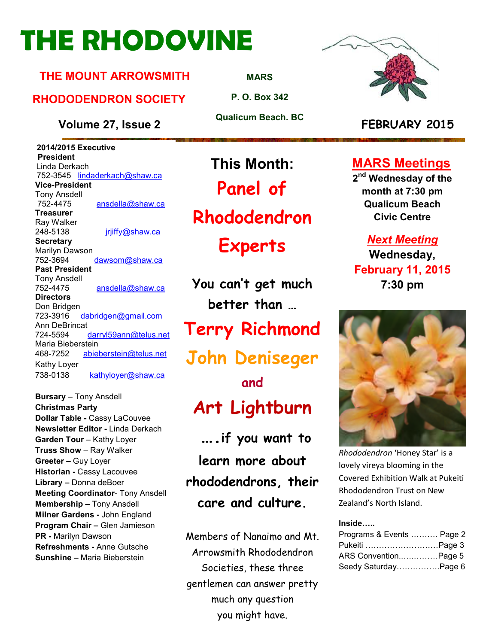## **THE RHODOVINE**

#### **THE MOUNT ARROWSMITH**

#### **RHODODENDRON SOCIETY**

**Volume 27, Issue 2 FEBRUARY 2015**

 **2014/2015 Executive President**  Linda Derkach 752-3545 lindaderkach@shaw.ca **Vice-President**  Tony Ansdell ansdella@shaw.ca **Treasurer**  Ray Walker 248-5138 jrjiffy@shaw.ca **Secretary** Marilyn Dawson 752-3694 dawsom@shaw.ca **Past President**  Tony Ansdell 752-4475 ansdella@shaw.ca **Directors**  Don Bridgen 723-3916 dabridgen@gmail.com Ann DeBrincat<br>724-5594 darryl59ann@telus.net Maria Bieberstein 468-7252 abieberstein@telus.net Kathy Loyer 738-0138 kathyloyer@shaw.ca

**Bursary** – Tony Ansdell **Christmas Party Dollar Table -** Cassy LaCouvee **Newsletter Editor -** Linda Derkach **Garden Tour** – Kathy Loyer **Truss Show** – Ray Walker **Greeter –** Guy Loyer **Historian -** Cassy Lacouvee **Library –** Donna deBoer **Meeting Coordinator- Tony Ansdell Membership –** Tony Ansdell **Milner Gardens -** John England **Program Chair –** Glen Jamieson **PR -** Marilyn Dawson **Refreshments -** Anne Gutsche **Sunshine –** Maria Bieberstein

**MARS**

**P. O. Box 342** 

**Qualicum Beach. BC** 

**This Month:**

**Panel of** 

**Rhododendron** 

**Experts** 

**You can't get much better than … Terry Richmond John Deniseger** 

**and Art Lightburn**

 **….if you want to learn more about rhododendrons, their care and culture.** 

Members of Nanaimo and Mt. Arrowsmith Rhododendron Societies, these three gentlemen can answer pretty much any question you might have.



**MARS Meetings**

**2 nd Wednesday of the month at 7:30 pm Qualicum Beach Civic Centre** 

*Next Meeting*  **Wednesday, February 11, 2015 7:30 pm** 



*Rhododendron* 'Honey Star' is a lovely vireya blooming in the Covered Exhibition Walk at Pukeiti Rhododendron Trust on New Zealand's North Island.

#### **Inside.....**

| Programs & Events  Page 2 |  |
|---------------------------|--|
| Pukeiti Page 3            |  |
| ARS ConventionPage 5      |  |
| Seedy SaturdayPage 6      |  |

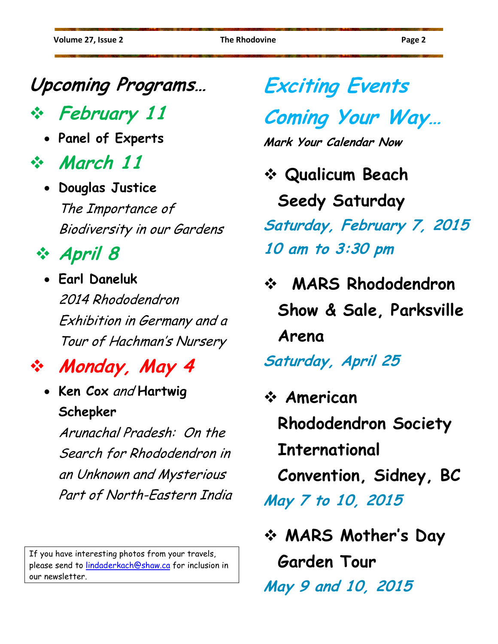#### **Upcoming Programs…**

**February 11** 

• **Panel of Experts** 

**March 11** 

• **Douglas Justice**  The Importance of Biodiversity in our Gardens

#### **April 8**

• **Earl Daneluk**  2014 Rhododendron Exhibition in Germany and a Tour of Hachman's Nursery

#### **Monday, May 4**

• **Ken Cox** and **Hartwig Schepker** 

> Arunachal Pradesh: On the Search for Rhododendron in an Unknown and Mysterious Part of North-Eastern India

If you have interesting photos from your travels, please send to lindaderkach@shaw.ca for inclusion in our newsletter.

## **Exciting Events**

### **Coming Your Way…**

**Mark Your Calendar Now** 

- **Qualicum Beach Seedy Saturday Saturday, February 7, 2015 10 am to 3:30 pm**
- **MARS Rhododendron Show & Sale, Parksville Arena Saturday, April 25**
- **American Rhododendron Society International Convention, Sidney, BC May 7 to 10, 2015**

 **MARS Mother's Day Garden Tour May 9 and 10, 2015**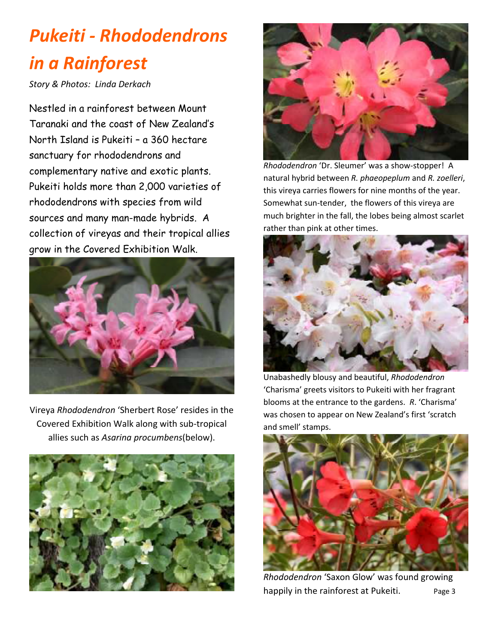#### *Pukeiti - Rhododendrons in a Rainforest*

*Story & Photos: Linda Derkach* 

Nestled in a rainforest between Mount Taranaki and the coast of New Zealand's North Island is Pukeiti – a 360 hectare sanctuary for rhododendrons and complementary native and exotic plants. Pukeiti holds more than 2,000 varieties of rhododendrons with species from wild sources and many man-made hybrids. A collection of vireyas and their tropical allies grow in the Covered Exhibition Walk.



Vireya *Rhododendron* 'Sherbert Rose' resides in the Covered Exhibition Walk along with sub-tropical allies such as *Asarina procumbens*(below).





*Rhododendron* 'Dr. Sleumer' was a show-stopper! A natural hybrid between *R. phaeopeplum* and *R. zoelleri*, this vireya carries flowers for nine months of the year. Somewhat sun-tender, the flowers of this vireya are much brighter in the fall, the lobes being almost scarlet rather than pink at other times.



Unabashedly blousy and beautiful, *Rhododendron* 'Charisma' greets visitors to Pukeiti with her fragrant blooms at the entrance to the gardens. *R*. 'Charisma' was chosen to appear on New Zealand's first 'scratch and smell' stamps.



*Rhododendron* 'Saxon Glow' was found growing happily in the rainforest at Pukeiti. Page 3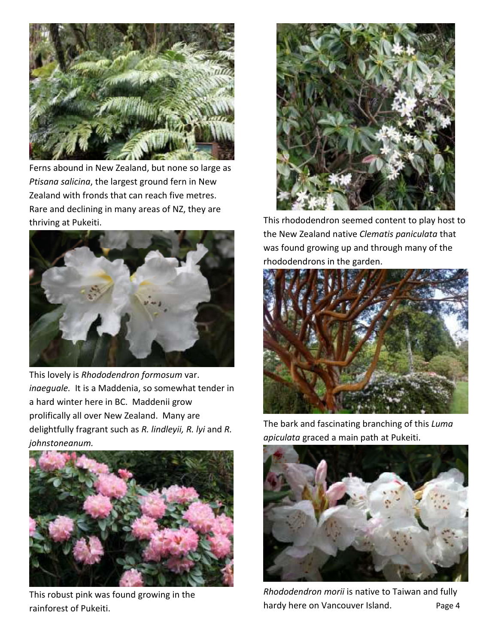

Ferns abound in New Zealand, but none so large as *Ptisana salicina*, the largest ground fern in New Zealand with fronds that can reach five metres. Rare and declining in many areas of NZ, they are thriving at Pukeiti.



This lovely is *Rhododendron formosum* var. *inaeguale.* It is a Maddenia, so somewhat tender in a hard winter here in BC. Maddenii grow prolifically all over New Zealand. Many are delightfully fragrant such as *R. lindleyii, R. lyi* and *R. johnstoneanum.*



This robust pink was found growing in the rainforest of Pukeiti.



This rhododendron seemed content to play host to the New Zealand native *Clematis paniculata* that was found growing up and through many of the rhododendrons in the garden.



The bark and fascinating branching of this *Luma apiculata* graced a main path at Pukeiti.



*Rhododendron morii* is native to Taiwan and fully hardy here on Vancouver Island. Page 4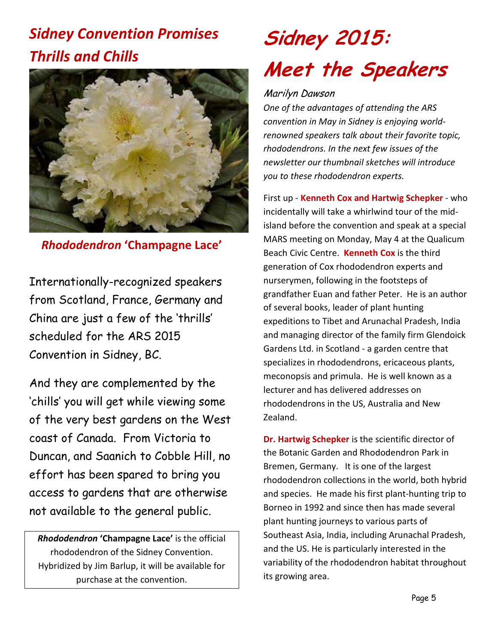#### *Sidney Convention Promises Thrills and Chills*



*Rhododendron* **'Champagne Lace'** 

Internationally-recognized speakers from Scotland, France, Germany and China are just a few of the 'thrills' scheduled for the ARS 2015 Convention in Sidney, BC.

And they are complemented by the 'chills' you will get while viewing some of the very best gardens on the West coast of Canada. From Victoria to Duncan, and Saanich to Cobble Hill, no effort has been spared to bring you access to gardens that are otherwise not available to the general public.

*Rhododendron* **'Champagne Lace'** is the official rhododendron of the Sidney Convention. Hybridized by Jim Barlup, it will be available for purchase at the convention.

## **Sidney 2015: Meet the Speakers**

#### Marilyn Dawson

*One of the advantages of attending the ARS convention in May in Sidney is enjoying worldrenowned speakers talk about their favorite topic, rhododendrons. In the next few issues of the newsletter our thumbnail sketches will introduce you to these rhododendron experts.* 

First up - **Kenneth Cox and Hartwig Schepker** - who incidentally will take a whirlwind tour of the midisland before the convention and speak at a special MARS meeting on Monday, May 4 at the Qualicum Beach Civic Centre. **Kenneth Cox** is the third generation of Cox rhododendron experts and nurserymen, following in the footsteps of grandfather Euan and father Peter. He is an author of several books, leader of plant hunting expeditions to Tibet and Arunachal Pradesh, India and managing director of the family firm Glendoick Gardens Ltd. in Scotland - a garden centre that specializes in rhododendrons, ericaceous plants, meconopsis and primula. He is well known as a lecturer and has delivered addresses on rhododendrons in the US, Australia and New Zealand.

**Dr. Hartwig Schepker** is the scientific director of the Botanic Garden and Rhododendron Park in Bremen, Germany. It is one of the largest rhododendron collections in the world, both hybrid and species. He made his first plant-hunting trip to Borneo in 1992 and since then has made several plant hunting journeys to various parts of Southeast Asia, India, including Arunachal Pradesh, and the US. He is particularly interested in the variability of the rhododendron habitat throughout its growing area.